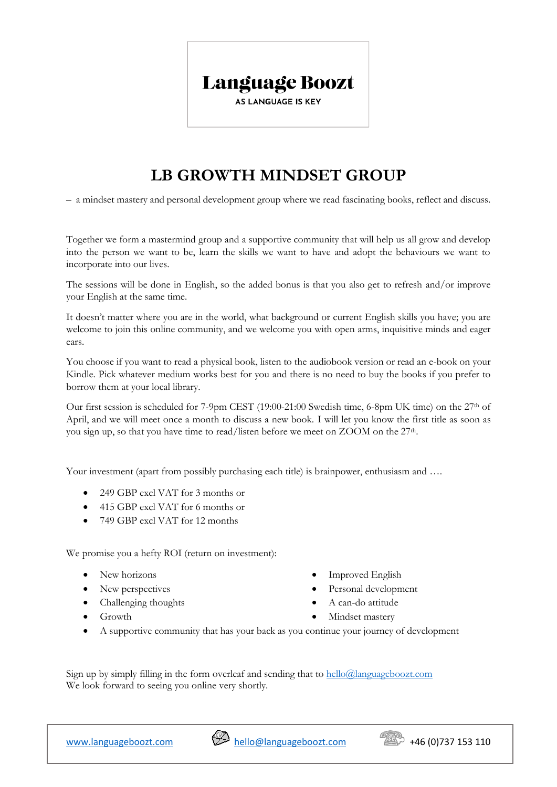## Language Boozt

**AS LANGUAGE IS KEY** 

## **LB GROWTH MINDSET GROUP**

– a mindset mastery and personal development group where we read fascinating books, reflect and discuss.

Together we form a mastermind group and a supportive community that will help us all grow and develop into the person we want to be, learn the skills we want to have and adopt the behaviours we want to incorporate into our lives.

The sessions will be done in English, so the added bonus is that you also get to refresh and/or improve your English at the same time.

It doesn't matter where you are in the world, what background or current English skills you have; you are welcome to join this online community, and we welcome you with open arms, inquisitive minds and eager ears.

You choose if you want to read a physical book, listen to the audiobook version or read an e-book on your Kindle. Pick whatever medium works best for you and there is no need to buy the books if you prefer to borrow them at your local library.

Our first session is scheduled for 7-9pm CEST (19:00-21:00 Swedish time, 6-8pm UK time) on the 27th of April, and we will meet once a month to discuss a new book. I will let you know the first title as soon as you sign up, so that you have time to read/listen before we meet on ZOOM on the 27<sup>th</sup>.

Your investment (apart from possibly purchasing each title) is brainpower, enthusiasm and ...

- 249 GBP excl VAT for 3 months or
- 415 GBP excl VAT for 6 months or
- 749 GBP excl VAT for 12 months

We promise you a hefty ROI (return on investment):

- New horizons
- New perspectives
- Challenging thoughts
- Growth
- Improved English
- Personal development
- A can-do attitude
- Mindset mastery
- A supportive community that has your back as you continue your journey of development

Sign up by simply filling in the form overleaf and sending that to  $h$ ello $@$ languageboozt.com We look forward to seeing you online very shortly.